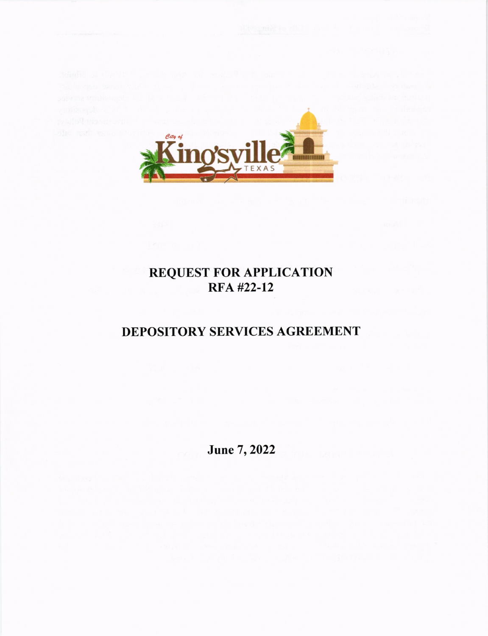

# **REQUEST FOR APPLICATION<br>RFA #22-12**

# DEPOSITORY SERVICES AGREEMENT

June 7, 2022